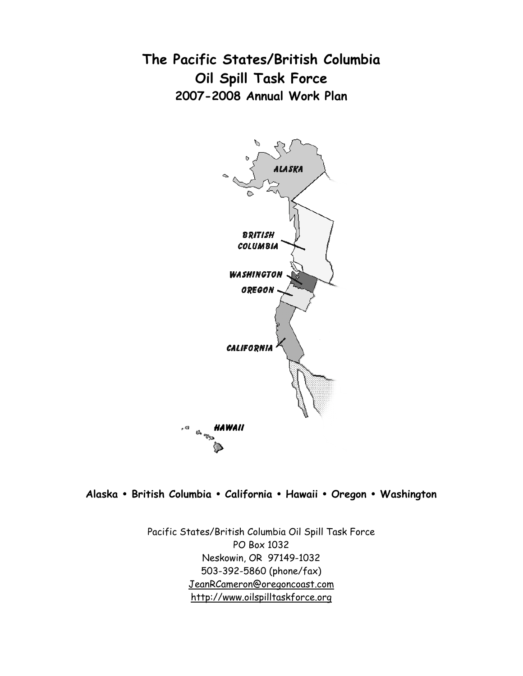**The Pacific States/British Columbia Oil Spill Task Force 2007-2008 Annual Work Plan**



**Alaska** • **British Columbia** • **California** • **Hawaii** • **Oregon** • **Washington**

Pacific States/British Columbia Oil Spill Task Force PO Box 1032 Neskowin, OR 97149-1032 503-392-5860 (phone/fax) JeanRCameron@oregoncoast.com http://www.oilspilltaskforce.org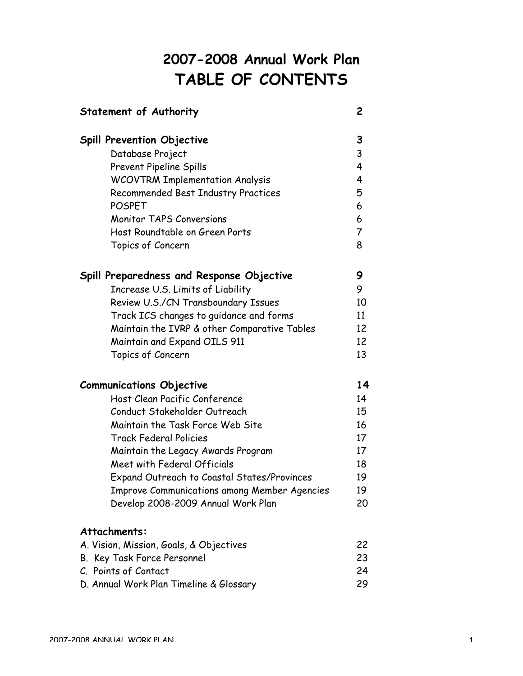# **2007-2008 Annual Work Plan TABLE OF CONTENTS**

| Statement of Authority                              | 2              |
|-----------------------------------------------------|----------------|
| <b>Spill Prevention Objective</b>                   | 3              |
| Database Project                                    | 3              |
| <b>Prevent Pipeline Spills</b>                      | 4              |
| <b>WCOVTRM Implementation Analysis</b>              | 4              |
| <b>Recommended Best Industry Practices</b>          | 5              |
| <b>POSPET</b>                                       | 6              |
| <b>Monitor TAPS Conversions</b>                     | 6              |
| Host Roundtable on Green Ports                      | $\overline{7}$ |
| Topics of Concern                                   | 8              |
| Spill Preparedness and Response Objective           | 9              |
| Increase U.S. Limits of Liability                   | 9              |
| Review U.S./CN Transboundary Issues                 | 10             |
| Track ICS changes to guidance and forms             | 11             |
| Maintain the IVRP & other Comparative Tables        | 12             |
| Maintain and Expand OILS 911                        | 12             |
| Topics of Concern                                   | 13             |
| <b>Communications Objective</b>                     | 14             |
| Host Clean Pacific Conference                       | 14             |
| Conduct Stakeholder Outreach                        | 15             |
| Maintain the Task Force Web Site                    | 16             |
| <b>Track Federal Policies</b>                       | 17             |
| Maintain the Legacy Awards Program                  | 17             |
| Meet with Federal Officials                         | 18             |
| Expand Outreach to Coastal States/Provinces         | 19             |
| <b>Improve Communications among Member Agencies</b> | 19             |
| Develop 2008-2009 Annual Work Plan                  | 20             |
| Attachments:                                        |                |
| A. Vision, Mission, Goals, & Objectives             | 22             |
| B. Key Task Force Personnel                         | 23             |
| C. Points of Contact                                | 24             |
| D. Annual Work Plan Timeline & Glossary             | 29             |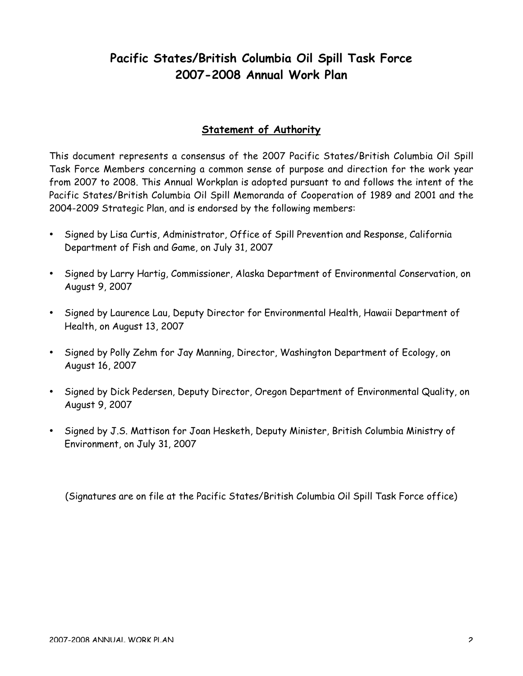## **Pacific States/British Columbia Oil Spill Task Force 2007-2008 Annual Work Plan**

## **Statement of Authority**

This document represents a consensus of the 2007 Pacific States/British Columbia Oil Spill Task Force Members concerning a common sense of purpose and direction for the work year from 2007 to 2008. This Annual Workplan is adopted pursuant to and follows the intent of the Pacific States/British Columbia Oil Spill Memoranda of Cooperation of 1989 and 2001 and the 2004-2009 Strategic Plan, and is endorsed by the following members:

- Signed by Lisa Curtis, Administrator, Office of Spill Prevention and Response, California Department of Fish and Game, on July 31, 2007
- Signed by Larry Hartig, Commissioner, Alaska Department of Environmental Conservation, on August 9, 2007
- Signed by Laurence Lau, Deputy Director for Environmental Health, Hawaii Department of Health, on August 13, 2007
- Signed by Polly Zehm for Jay Manning, Director, Washington Department of Ecology, on August 16, 2007
- Signed by Dick Pedersen, Deputy Director, Oregon Department of Environmental Quality, on August 9, 2007
- Signed by J.S. Mattison for Joan Hesketh, Deputy Minister, British Columbia Ministry of Environment, on July 31, 2007

(Signatures are on file at the Pacific States/British Columbia Oil Spill Task Force office)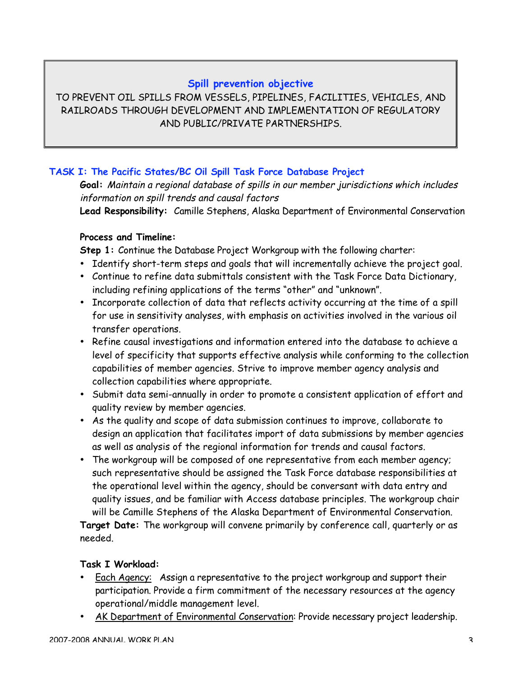## **Spill prevention objective**

TO PREVENT OIL SPILLS FROM VESSELS, PIPELINES, FACILITIES, VEHICLES, AND RAILROADS THROUGH DEVELOPMENT AND IMPLEMENTATION OF REGULATORY AND PUBLIC/PRIVATE PARTNERSHIPS.

## **TASK I: The Pacific States/BC Oil Spill Task Force Database Project**

**Goal:** Maintain a regional database of spills in our member jurisdictions which includes information on spill trends and causal factors

**Lead Responsibility:** Camille Stephens, Alaska Department of Environmental Conservation

## **Process and Timeline:**

**Step 1:** Continue the Database Project Workgroup with the following charter:

- Identify short-term steps and goals that will incrementally achieve the project goal.
- Continue to refine data submittals consistent with the Task Force Data Dictionary, including refining applications of the terms "other" and "unknown".
- Incorporate collection of data that reflects activity occurring at the time of a spill for use in sensitivity analyses, with emphasis on activities involved in the various oil transfer operations.
- Refine causal investigations and information entered into the database to achieve a level of specificity that supports effective analysis while conforming to the collection capabilities of member agencies. Strive to improve member agency analysis and collection capabilities where appropriate.
- Submit data semi-annually in order to promote a consistent application of effort and quality review by member agencies.
- As the quality and scope of data submission continues to improve, collaborate to design an application that facilitates import of data submissions by member agencies as well as analysis of the regional information for trends and causal factors.
- The workgroup will be composed of one representative from each member agency; such representative should be assigned the Task Force database responsibilities at the operational level within the agency, should be conversant with data entry and quality issues, and be familiar with Access database principles. The workgroup chair will be Camille Stephens of the Alaska Department of Environmental Conservation.

**Target Date:** The workgroup will convene primarily by conference call, quarterly or as needed.

#### **Task I Workload:**

- Each Agency: Assign a representative to the project workgroup and support their participation. Provide a firm commitment of the necessary resources at the agency operational/middle management level.
- AK Department of Environmental Conservation: Provide necessary project leadership.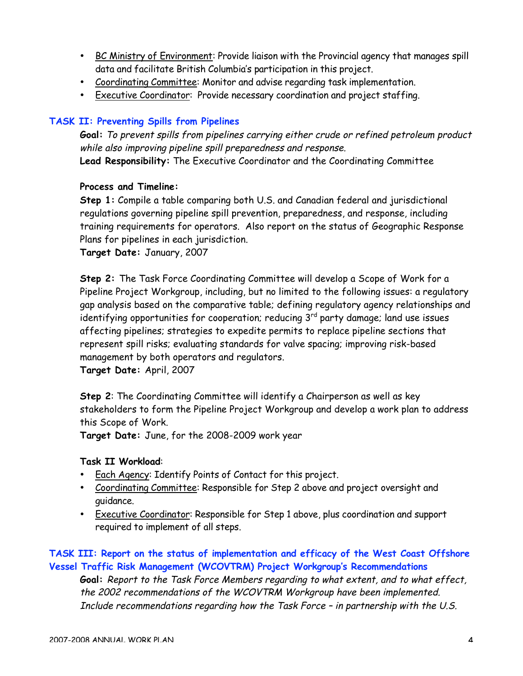- BC Ministry of Environment: Provide liaison with the Provincial agency that manages spill data and facilitate British Columbia's participation in this project.
- Coordinating Committee: Monitor and advise regarding task implementation.
- Executive Coordinator: Provide necessary coordination and project staffing.

## **TASK II: Preventing Spills from Pipelines**

**Goal:** To prevent spills from pipelines carrying either crude or refined petroleum product while also improving pipeline spill preparedness and response. **Lead Responsibility:** The Executive Coordinator and the Coordinating Committee

#### **Process and Timeline:**

**Step 1:** Compile a table comparing both U.S. and Canadian federal and jurisdictional regulations governing pipeline spill prevention, preparedness, and response, including training requirements for operators. Also report on the status of Geographic Response Plans for pipelines in each jurisdiction.

**Target Date:** January, 2007

**Step 2:** The Task Force Coordinating Committee will develop a Scope of Work for a Pipeline Project Workgroup, including, but no limited to the following issues: a regulatory gap analysis based on the comparative table; defining regulatory agency relationships and identifying opportunities for cooperation; reducing 3rd party damage; land use issues affecting pipelines; strategies to expedite permits to replace pipeline sections that represent spill risks; evaluating standards for valve spacing; improving risk-based management by both operators and regulators.

**Target Date:** April, 2007

**Step 2**: The Coordinating Committee will identify a Chairperson as well as key stakeholders to form the Pipeline Project Workgroup and develop a work plan to address this Scope of Work.

**Target Date:** June, for the 2008-2009 work year

#### **Task II Workload**:

- Each Agency: Identify Points of Contact for this project.
- Coordinating Committee: Responsible for Step 2 above and project oversight and guidance.
- Executive Coordinator: Responsible for Step 1 above, plus coordination and support required to implement of all steps.

## **TASK III: Report on the status of implementation and efficacy of the West Coast Offshore Vessel Traffic Risk Management (WCOVTRM) Project Workgroup's Recommendations**

**Goal:** Report to the Task Force Members regarding to what extent, and to what effect, the 2002 recommendations of the WCOVTRM Workgroup have been implemented. Include recommendations regarding how the Task Force – in partnership with the U.S.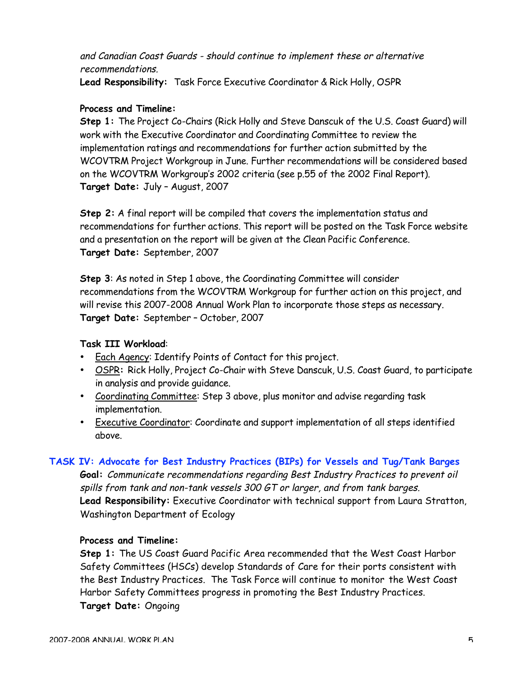and Canadian Coast Guards - should continue to implement these or alternative recommendations.

**Lead Responsibility:** Task Force Executive Coordinator & Rick Holly, OSPR

#### **Process and Timeline:**

**Step 1:** The Project Co-Chairs (Rick Holly and Steve Danscuk of the U.S. Coast Guard) will work with the Executive Coordinator and Coordinating Committee to review the implementation ratings and recommendations for further action submitted by the WCOVTRM Project Workgroup in June. Further recommendations will be considered based on the WCOVTRM Workgroup's 2002 criteria (see p.55 of the 2002 Final Report). **Target Date:** July – August, 2007

**Step 2:** A final report will be compiled that covers the implementation status and recommendations for further actions. This report will be posted on the Task Force website and a presentation on the report will be given at the Clean Pacific Conference. **Target Date:** September, 2007

**Step 3**: As noted in Step 1 above, the Coordinating Committee will consider recommendations from the WCOVTRM Workgroup for further action on this project, and will revise this 2007-2008 Annual Work Plan to incorporate those steps as necessary. **Target Date:** September – October, 2007

#### **Task III Workload**:

- Each Agency: Identify Points of Contact for this project.
- OSPR**:** Rick Holly, Project Co-Chair with Steve Danscuk, U.S. Coast Guard, to participate in analysis and provide guidance.
- Coordinating Committee: Step 3 above, plus monitor and advise regarding task implementation.
- Executive Coordinator: Coordinate and support implementation of all steps identified above.

#### **TASK IV: Advocate for Best Industry Practices (BIPs) for Vessels and Tug/Tank Barges**

**Goal:** Communicate recommendations regarding Best Industry Practices to prevent oil spills from tank and non-tank vessels 300 GT or larger, and from tank barges. **Lead Responsibility:** Executive Coordinator with technical support from Laura Stratton, Washington Department of Ecology

#### **Process and Timeline:**

**Step 1:** The US Coast Guard Pacific Area recommended that the West Coast Harbor Safety Committees (HSCs) develop Standards of Care for their ports consistent with the Best Industry Practices. The Task Force will continue to monitor the West Coast Harbor Safety Committees progress in promoting the Best Industry Practices. **Target Date:** Ongoing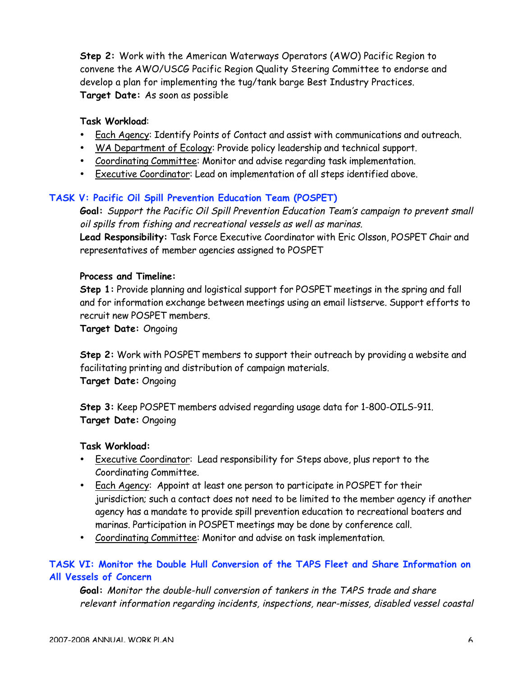**Step 2:** Work with the American Waterways Operators (AWO) Pacific Region to convene the AWO/USCG Pacific Region Quality Steering Committee to endorse and develop a plan for implementing the tug/tank barge Best Industry Practices. **Target Date:** As soon as possible

#### **Task Workload**:

- Each Agency: Identify Points of Contact and assist with communications and outreach.
- WA Department of Ecology: Provide policy leadership and technical support.
- Coordinating Committee: Monitor and advise regarding task implementation.
- Executive Coordinator: Lead on implementation of all steps identified above.

#### **TASK V: Pacific Oil Spill Prevention Education Team (POSPET)**

**Goal:** Support the Pacific Oil Spill Prevention Education Team's campaign to prevent small oil spills from fishing and recreational vessels as well as marinas.

**Lead Responsibility:** Task Force Executive Coordinator with Eric Olsson, POSPET Chair and representatives of member agencies assigned to POSPET

#### **Process and Timeline:**

**Step 1:** Provide planning and logistical support for POSPET meetings in the spring and fall and for information exchange between meetings using an email listserve. Support efforts to recruit new POSPET members.

**Target Date:** Ongoing

**Step 2:** Work with POSPET members to support their outreach by providing a website and facilitating printing and distribution of campaign materials. **Target Date:** Ongoing

**Step 3:** Keep POSPET members advised regarding usage data for 1-800-OILS-911. **Target Date:** Ongoing

#### **Task Workload:**

- Executive Coordinator: Lead responsibility for Steps above, plus report to the Coordinating Committee.
- Each Agency: Appoint at least one person to participate in POSPET for their jurisdiction; such a contact does not need to be limited to the member agency if another agency has a mandate to provide spill prevention education to recreational boaters and marinas. Participation in POSPET meetings may be done by conference call.
- Coordinating Committee: Monitor and advise on task implementation.

## **TASK VI: Monitor the Double Hull Conversion of the TAPS Fleet and Share Information on All Vessels of Concern**

**Goal:** Monitor the double-hull conversion of tankers in the TAPS trade and share relevant information regarding incidents, inspections, near-misses, disabled vessel coastal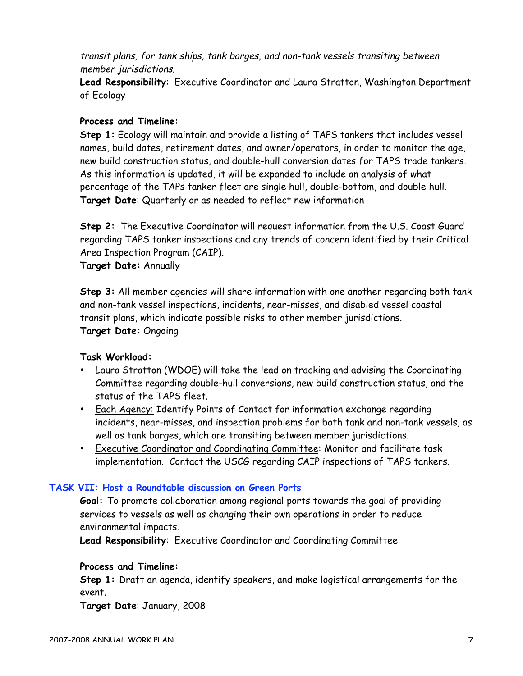transit plans, for tank ships, tank barges, and non-tank vessels transiting between member jurisdictions.

**Lead Responsibility**: Executive Coordinator and Laura Stratton, Washington Department of Ecology

#### **Process and Timeline:**

**Step 1:** Ecology will maintain and provide a listing of TAPS tankers that includes vessel names, build dates, retirement dates, and owner/operators, in order to monitor the age, new build construction status, and double-hull conversion dates for TAPS trade tankers. As this information is updated, it will be expanded to include an analysis of what percentage of the TAPs tanker fleet are single hull, double-bottom, and double hull. **Target Date**: Quarterly or as needed to reflect new information

**Step 2:** The Executive Coordinator will request information from the U.S. Coast Guard regarding TAPS tanker inspections and any trends of concern identified by their Critical Area Inspection Program (CAIP).

**Target Date:** Annually

**Step 3:** All member agencies will share information with one another regarding both tank and non-tank vessel inspections, incidents, near-misses, and disabled vessel coastal transit plans, which indicate possible risks to other member jurisdictions. **Target Date:** Ongoing

#### **Task Workload:**

- Laura Stratton (WDOE) will take the lead on tracking and advising the Coordinating Committee regarding double-hull conversions, new build construction status, and the status of the TAPS fleet.
- Each Agency: Identify Points of Contact for information exchange regarding incidents, near-misses, and inspection problems for both tank and non-tank vessels, as well as tank barges, which are transiting between member jurisdictions.
- Executive Coordinator and Coordinating Committee: Monitor and facilitate task implementation. Contact the USCG regarding CAIP inspections of TAPS tankers.

### **TASK VII: Host a Roundtable discussion on Green Ports**

**Goal:** To promote collaboration among regional ports towards the goal of providing services to vessels as well as changing their own operations in order to reduce environmental impacts.

**Lead Responsibility**: Executive Coordinator and Coordinating Committee

#### **Process and Timeline:**

**Step 1:** Draft an agenda, identify speakers, and make logistical arrangements for the event.

**Target Date**: January, 2008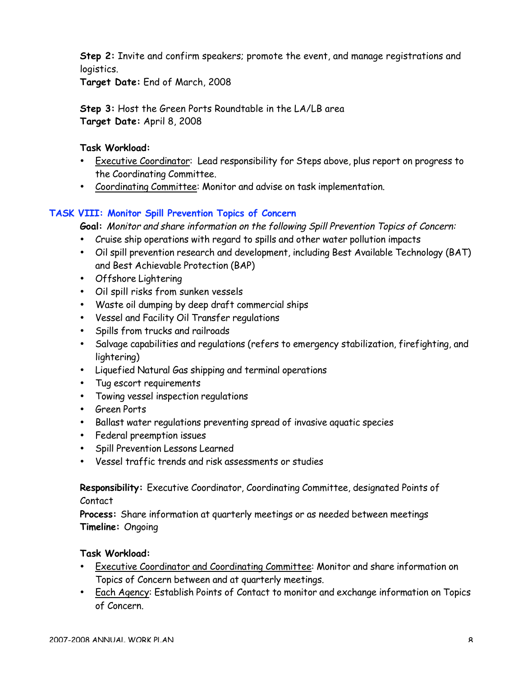**Step 2:** Invite and confirm speakers; promote the event, and manage registrations and logistics.

**Target Date:** End of March, 2008

**Step 3:** Host the Green Ports Roundtable in the LA/LB area **Target Date:** April 8, 2008

### **Task Workload:**

- Executive Coordinator: Lead responsibility for Steps above, plus report on progress to the Coordinating Committee.
- Coordinating Committee: Monitor and advise on task implementation.

## **TASK VIII: Monitor Spill Prevention Topics of Concern**

**Goal:** Monitor and share information on the following Spill Prevention Topics of Concern:

- Cruise ship operations with regard to spills and other water pollution impacts
- Oil spill prevention research and development, including Best Available Technology (BAT) and Best Achievable Protection (BAP)
- Offshore Lightering
- Oil spill risks from sunken vessels
- Waste oil dumping by deep draft commercial ships
- Vessel and Facility Oil Transfer regulations
- Spills from trucks and railroads
- Salvage capabilities and regulations (refers to emergency stabilization, firefighting, and lightering)
- Liquefied Natural Gas shipping and terminal operations
- Tug escort requirements
- Towing vessel inspection regulations
- Green Ports
- Ballast water regulations preventing spread of invasive aquatic species
- Federal preemption issues
- Spill Prevention Lessons Learned
- Vessel traffic trends and risk assessments or studies

## **Responsibility:** Executive Coordinator, Coordinating Committee, designated Points of Contact

**Process:** Share information at quarterly meetings or as needed between meetings **Timeline:** Ongoing

#### **Task Workload:**

- Executive Coordinator and Coordinating Committee: Monitor and share information on Topics of Concern between and at quarterly meetings.
- Each Agency: Establish Points of Contact to monitor and exchange information on Topics of Concern.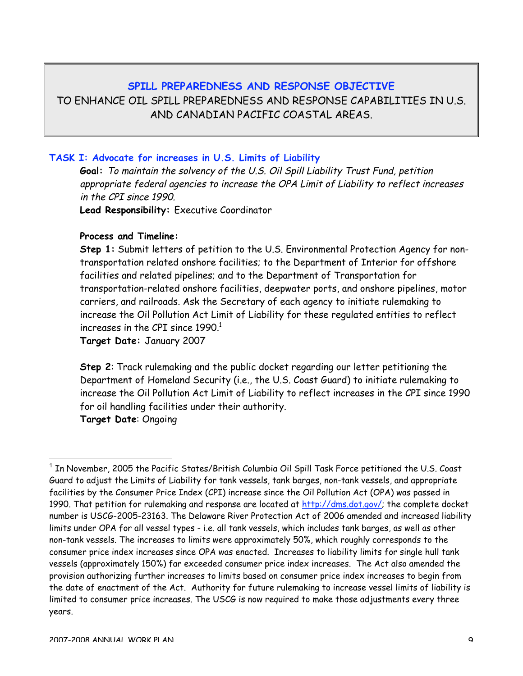#### **SPILL PREPAREDNESS AND RESPONSE OBJECTIVE**

TO ENHANCE OIL SPILL PREPAREDNESS AND RESPONSE CAPABILITIES IN U.S. AND CANADIAN PACIFIC COASTAL AREAS.

#### **TASK I: Advocate for increases in U.S. Limits of Liability**

**Goal:** To maintain the solvency of the U.S. Oil Spill Liability Trust Fund, petition appropriate federal agencies to increase the OPA Limit of Liability to reflect increases in the CPI since 1990.

**Lead Responsibility:** Executive Coordinator

#### **Process and Timeline:**

**Step 1:** Submit letters of petition to the U.S. Environmental Protection Agency for nontransportation related onshore facilities; to the Department of Interior for offshore facilities and related pipelines; and to the Department of Transportation for transportation-related onshore facilities, deepwater ports, and onshore pipelines, motor carriers, and railroads. Ask the Secretary of each agency to initiate rulemaking to increase the Oil Pollution Act Limit of Liability for these regulated entities to reflect increases in the CPI since  $1990<sup>1</sup>$ 

**Target Date:** January 2007

**Step 2**: Track rulemaking and the public docket regarding our letter petitioning the Department of Homeland Security (i.e., the U.S. Coast Guard) to initiate rulemaking to increase the Oil Pollution Act Limit of Liability to reflect increases in the CPI since 1990 for oil handling facilities under their authority. **Target Date**: Ongoing

 <sup>1</sup> In November, 2005 the Pacific States/British Columbia Oil Spill Task Force petitioned the U.S. Coast Guard to adjust the Limits of Liability for tank vessels, tank barges, non-tank vessels, and appropriate facilities by the Consumer Price Index (CPI) increase since the Oil Pollution Act (OPA) was passed in 1990. That petition for rulemaking and response are located at http://dms.dot.gov/; the complete docket number is USCG-2005-23163. The Delaware River Protection Act of 2006 amended and increased liability limits under OPA for all vessel types - i.e. all tank vessels, which includes tank barges, as well as other non-tank vessels. The increases to limits were approximately 50%, which roughly corresponds to the consumer price index increases since OPA was enacted. Increases to liability limits for single hull tank vessels (approximately 150%) far exceeded consumer price index increases. The Act also amended the provision authorizing further increases to limits based on consumer price index increases to begin from the date of enactment of the Act. Authority for future rulemaking to increase vessel limits of liability is limited to consumer price increases. The USCG is now required to make those adjustments every three years.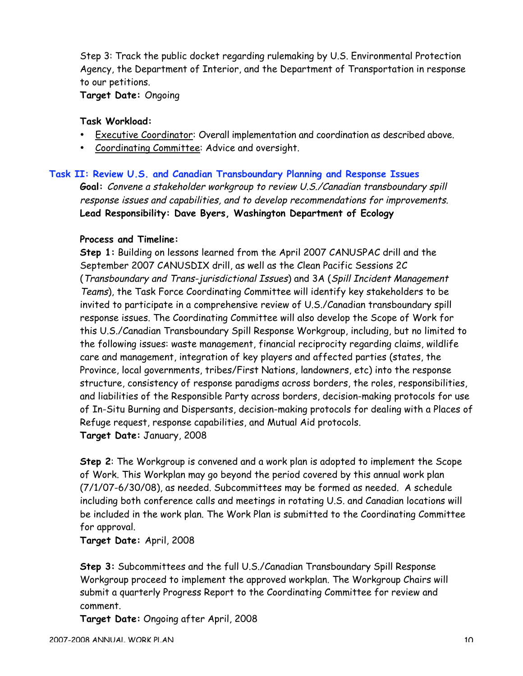Step 3: Track the public docket regarding rulemaking by U.S. Environmental Protection Agency, the Department of Interior, and the Department of Transportation in response to our petitions.

**Target Date:** Ongoing

#### **Task Workload:**

- Executive Coordinator: Overall implementation and coordination as described above.
- Coordinating Committee: Advice and oversight.

#### **Task II: Review U.S. and Canadian Transboundary Planning and Response Issues**

**Goal:** Convene a stakeholder workgroup to review U.S./Canadian transboundary spill response issues and capabilities, and to develop recommendations for improvements. **Lead Responsibility: Dave Byers, Washington Department of Ecology**

#### **Process and Timeline:**

**Step 1:** Building on lessons learned from the April 2007 CANUSPAC drill and the September 2007 CANUSDIX drill, as well as the Clean Pacific Sessions 2C (Transboundary and Trans-jurisdictional Issues) and 3A (Spill Incident Management Teams), the Task Force Coordinating Committee will identify key stakeholders to be invited to participate in a comprehensive review of U.S./Canadian transboundary spill response issues. The Coordinating Committee will also develop the Scope of Work for this U.S./Canadian Transboundary Spill Response Workgroup, including, but no limited to the following issues: waste management, financial reciprocity regarding claims, wildlife care and management, integration of key players and affected parties (states, the Province, local governments, tribes/First Nations, landowners, etc) into the response structure, consistency of response paradigms across borders, the roles, responsibilities, and liabilities of the Responsible Party across borders, decision-making protocols for use of In-Situ Burning and Dispersants, decision-making protocols for dealing with a Places of Refuge request, response capabilities, and Mutual Aid protocols. **Target Date:** January, 2008

**Step 2**: The Workgroup is convened and a work plan is adopted to implement the Scope of Work. This Workplan may go beyond the period covered by this annual work plan (7/1/07-6/30/08), as needed. Subcommittees may be formed as needed. A schedule including both conference calls and meetings in rotating U.S. and Canadian locations will be included in the work plan. The Work Plan is submitted to the Coordinating Committee for approval.

**Target Date:** April, 2008

**Step 3:** Subcommittees and the full U.S./Canadian Transboundary Spill Response Workgroup proceed to implement the approved workplan. The Workgroup Chairs will submit a quarterly Progress Report to the Coordinating Committee for review and comment.

**Target Date:** Ongoing after April, 2008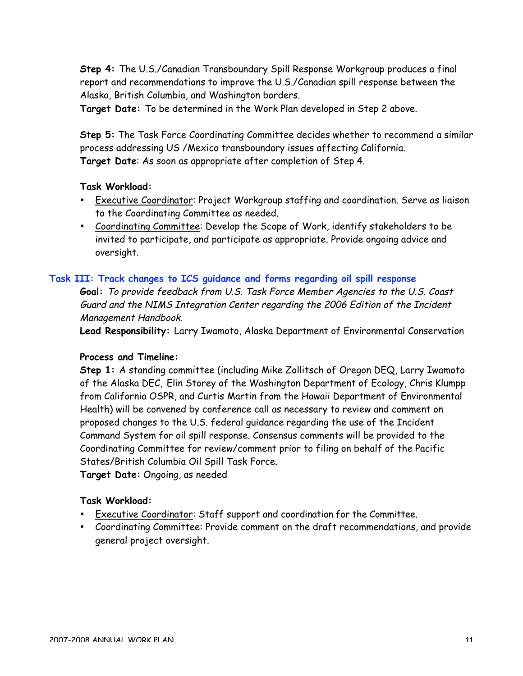**Step 4:** The U.S./Canadian Transboundary Spill Response Workgroup produces a final report and recommendations to improve the U.S./Canadian spill response between the Alaska, British Columbia, and Washington borders.

**Target Date:** To be determined in the Work Plan developed in Step 2 above.

**Step 5:** The Task Force Coordinating Committee decides whether to recommend a similar process addressing US /Mexico transboundary issues affecting California. **Target Date**: As soon as appropriate after completion of Step 4.

#### **Task Workload:**

- **Executive Coordinator: Project Workgroup staffing and coordination. Serve as liaison** to the Coordinating Committee as needed.
- Coordinating Committee: Develop the Scope of Work, identify stakeholders to be invited to participate, and participate as appropriate. Provide ongoing advice and oversight.

#### **Task III: Track changes to ICS guidance and forms regarding oil spill response**

**Goal:** To provide feedback from U.S. Task Force Member Agencies to the U.S. Coast Guard and the NIMS Integration Center regarding the 2006 Edition of the Incident Management Handbook.

**Lead Responsibility:** Larry Iwamoto, Alaska Department of Environmental Conservation

#### **Process and Timeline:**

**Step 1:** A standing committee (including Mike Zollitsch of Oregon DEQ, Larry Iwamoto of the Alaska DEC, Elin Storey of the Washington Department of Ecology, Chris Klumpp from California OSPR, and Curtis Martin from the Hawaii Department of Environmental Health) will be convened by conference call as necessary to review and comment on proposed changes to the U.S. federal guidance regarding the use of the Incident Command System for oil spill response. Consensus comments will be provided to the Coordinating Committee for review/comment prior to filing on behalf of the Pacific States/British Columbia Oil Spill Task Force.

**Target Date:** Ongoing, as needed

#### **Task Workload:**

- Executive Coordinator: Staff support and coordination for the Committee.
- Coordinating Committee: Provide comment on the draft recommendations, and provide general project oversight.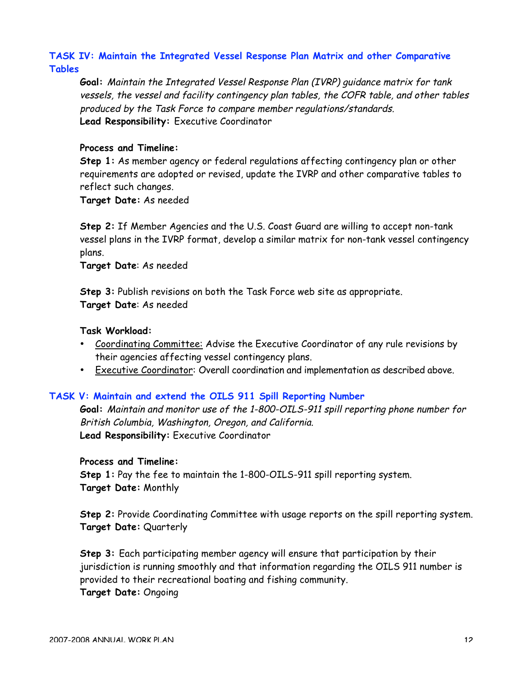## **TASK IV: Maintain the Integrated Vessel Response Plan Matrix and other Comparative Tables**

**Goal:** Maintain the Integrated Vessel Response Plan (IVRP) guidance matrix for tank vessels, the vessel and facility contingency plan tables, the COFR table, and other tables produced by the Task Force to compare member regulations/standards. **Lead Responsibility:** Executive Coordinator

#### **Process and Timeline:**

**Step 1:** As member agency or federal regulations affecting contingency plan or other requirements are adopted or revised, update the IVRP and other comparative tables to reflect such changes.

**Target Date:** As needed

**Step 2:** If Member Agencies and the U.S. Coast Guard are willing to accept non-tank vessel plans in the IVRP format, develop a similar matrix for non-tank vessel contingency plans.

**Target Date**: As needed

**Step 3:** Publish revisions on both the Task Force web site as appropriate. **Target Date**: As needed

#### **Task Workload:**

- Coordinating Committee: Advise the Executive Coordinator of any rule revisions by their agencies affecting vessel contingency plans.
- Executive Coordinator: Overall coordination and implementation as described above.

#### **TASK V: Maintain and extend the OILS 911 Spill Reporting Number**

**Goal:** Maintain and monitor use of the 1-800-OILS-911 spill reporting phone number for British Columbia, Washington, Oregon, and California. **Lead Responsibility:** Executive Coordinator

#### **Process and Timeline:**

**Step 1:** Pay the fee to maintain the 1-800-OILS-911 spill reporting system. **Target Date:** Monthly

**Step 2:** Provide Coordinating Committee with usage reports on the spill reporting system. **Target Date:** Quarterly

**Step 3:** Each participating member agency will ensure that participation by their jurisdiction is running smoothly and that information regarding the OILS 911 number is provided to their recreational boating and fishing community.

**Target Date:** Ongoing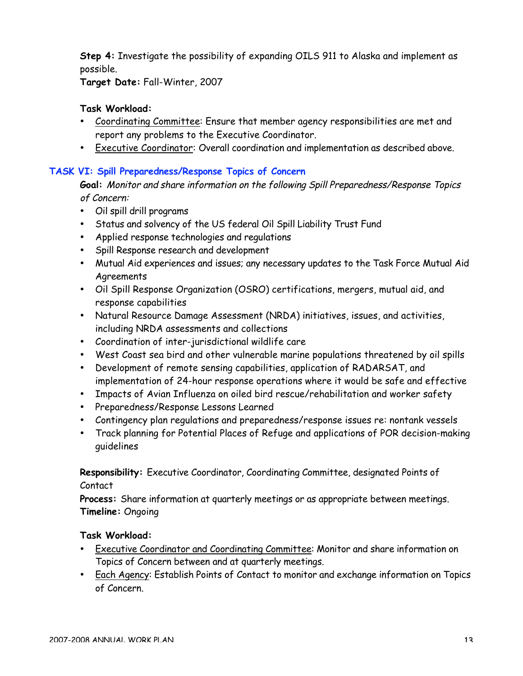**Step 4:** Investigate the possibility of expanding OILS 911 to Alaska and implement as possible.

**Target Date:** Fall-Winter, 2007

## **Task Workload:**

- Coordinating Committee: Ensure that member agency responsibilities are met and report any problems to the Executive Coordinator.
- Executive Coordinator: Overall coordination and implementation as described above.

## **TASK VI: Spill Preparedness/Response Topics of Concern**

**Goal:** Monitor and share information on the following Spill Preparedness/Response Topics of Concern:

- Oil spill drill programs
- Status and solvency of the US federal Oil Spill Liability Trust Fund
- Applied response technologies and regulations
- Spill Response research and development
- Mutual Aid experiences and issues; any necessary updates to the Task Force Mutual Aid Agreements
- Oil Spill Response Organization (OSRO) certifications, mergers, mutual aid, and response capabilities
- Natural Resource Damage Assessment (NRDA) initiatives, issues, and activities, including NRDA assessments and collections
- Coordination of inter-jurisdictional wildlife care
- West Coast sea bird and other vulnerable marine populations threatened by oil spills
- Development of remote sensing capabilities, application of RADARSAT, and implementation of 24-hour response operations where it would be safe and effective
- Impacts of Avian Influenza on oiled bird rescue/rehabilitation and worker safety
- Preparedness/Response Lessons Learned
- Contingency plan regulations and preparedness/response issues re: nontank vessels
- Track planning for Potential Places of Refuge and applications of POR decision-making guidelines

**Responsibility:** Executive Coordinator, Coordinating Committee, designated Points of Contact

**Process:** Share information at quarterly meetings or as appropriate between meetings. **Timeline:** Ongoing

## **Task Workload:**

- Executive Coordinator and Coordinating Committee: Monitor and share information on Topics of Concern between and at quarterly meetings.
- Each Agency: Establish Points of Contact to monitor and exchange information on Topics of Concern.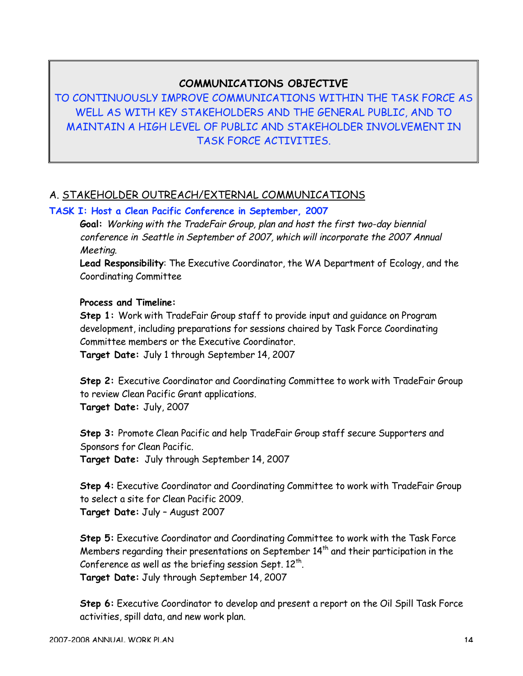## **COMMUNICATIONS OBJECTIVE**

TO CONTINUOUSLY IMPROVE COMMUNICATIONS WITHIN THE TASK FORCE AS WELL AS WITH KEY STAKEHOLDERS AND THE GENERAL PUBLIC, AND TO MAINTAIN A HIGH LEVEL OF PUBLIC AND STAKEHOLDER INVOLVEMENT IN TASK FORCE ACTIVITIES.

## A. STAKEHOLDER OUTREACH/EXTERNAL COMMUNICATIONS

## **TASK I: Host a Clean Pacific Conference in September, 2007**

**Goal:** Working with the TradeFair Group, plan and host the first two-day biennial conference in Seattle in September of 2007, which will incorporate the 2007 Annual Meeting.

**Lead Responsibility**: The Executive Coordinator, the WA Department of Ecology, and the Coordinating Committee

#### **Process and Timeline:**

**Step 1:** Work with TradeFair Group staff to provide input and guidance on Program development, including preparations for sessions chaired by Task Force Coordinating Committee members or the Executive Coordinator. **Target Date:** July 1 through September 14, 2007

**Step 2:** Executive Coordinator and Coordinating Committee to work with TradeFair Group to review Clean Pacific Grant applications. **Target Date:** July, 2007

**Step 3:** Promote Clean Pacific and help TradeFair Group staff secure Supporters and Sponsors for Clean Pacific. **Target Date:** July through September 14, 2007

**Step 4:** Executive Coordinator and Coordinating Committee to work with TradeFair Group to select a site for Clean Pacific 2009. **Target Date:** July – August 2007

**Step 5:** Executive Coordinator and Coordinating Committee to work with the Task Force Members regarding their presentations on September  $14<sup>th</sup>$  and their participation in the Conference as well as the briefing session Sept.  $12^{\text{th}}$ . **Target Date:** July through September 14, 2007

**Step 6:** Executive Coordinator to develop and present a report on the Oil Spill Task Force activities, spill data, and new work plan.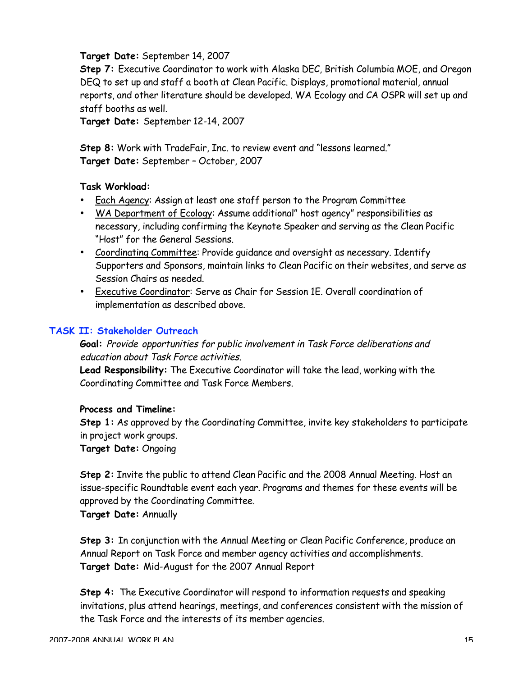#### **Target Date:** September 14, 2007

**Step 7:** Executive Coordinator to work with Alaska DEC, British Columbia MOE, and Oregon DEQ to set up and staff a booth at Clean Pacific. Displays, promotional material, annual reports, and other literature should be developed. WA Ecology and CA OSPR will set up and staff booths as well.

**Target Date:** September 12-14, 2007

**Step 8:** Work with TradeFair, Inc. to review event and "lessons learned." **Target Date:** September – October, 2007

#### **Task Workload:**

- Each Agency: Assign at least one staff person to the Program Committee
- WA Department of Ecology: Assume additional" host agency" responsibilities as necessary, including confirming the Keynote Speaker and serving as the Clean Pacific "Host" for the General Sessions.
- Coordinating Committee: Provide guidance and oversight as necessary. Identify Supporters and Sponsors, maintain links to Clean Pacific on their websites, and serve as Session Chairs as needed.
- Executive Coordinator: Serve as Chair for Session 1E. Overall coordination of implementation as described above.

#### **TASK II: Stakeholder Outreach**

**Goal:** Provide opportunities for public involvement in Task Force deliberations and education about Task Force activities.

**Lead Responsibility:** The Executive Coordinator will take the lead, working with the Coordinating Committee and Task Force Members.

#### **Process and Timeline:**

**Step 1:** As approved by the Coordinating Committee, invite key stakeholders to participate in project work groups.

**Target Date:** Ongoing

**Step 2:** Invite the public to attend Clean Pacific and the 2008 Annual Meeting. Host an issue-specific Roundtable event each year. Programs and themes for these events will be approved by the Coordinating Committee.

**Target Date:** Annually

**Step 3:** In conjunction with the Annual Meeting or Clean Pacific Conference, produce an Annual Report on Task Force and member agency activities and accomplishments. **Target Date:** Mid-August for the 2007 Annual Report

**Step 4:** The Executive Coordinator will respond to information requests and speaking invitations, plus attend hearings, meetings, and conferences consistent with the mission of the Task Force and the interests of its member agencies.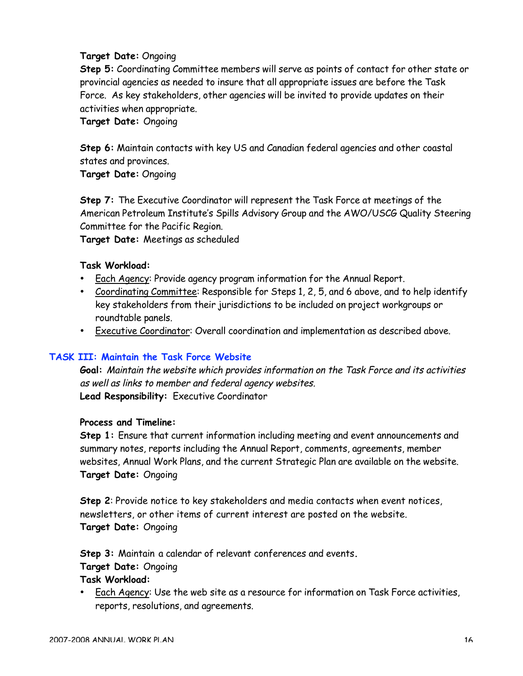#### **Target Date:** Ongoing

**Step 5:** Coordinating Committee members will serve as points of contact for other state or provincial agencies as needed to insure that all appropriate issues are before the Task Force. As key stakeholders, other agencies will be invited to provide updates on their activities when appropriate.

**Target Date:** Ongoing

**Step 6:** Maintain contacts with key US and Canadian federal agencies and other coastal states and provinces.

**Target Date:** Ongoing

**Step 7:** The Executive Coordinator will represent the Task Force at meetings of the American Petroleum Institute's Spills Advisory Group and the AWO/USCG Quality Steering Committee for the Pacific Region.

**Target Date:** Meetings as scheduled

#### **Task Workload:**

- Each Agency: Provide agency program information for the Annual Report.
- Coordinating Committee: Responsible for Steps 1, 2, 5, and 6 above, and to help identify key stakeholders from their jurisdictions to be included on project workgroups or roundtable panels.
- Executive Coordinator: Overall coordination and implementation as described above.

#### **TASK III: Maintain the Task Force Website**

**Goal:** Maintain the website which provides information on the Task Force and its activities as well as links to member and federal agency websites. **Lead Responsibility:** Executive Coordinator

#### **Process and Timeline:**

**Step 1:** Ensure that current information including meeting and event announcements and summary notes, reports including the Annual Report, comments, agreements, member websites, Annual Work Plans, and the current Strategic Plan are available on the website. **Target Date:** Ongoing

**Step 2**: Provide notice to key stakeholders and media contacts when event notices, newsletters, or other items of current interest are posted on the website. **Target Date:** Ongoing

**Step 3:** Maintain a calendar of relevant conferences and events**. Target Date:** Ongoing

## **Task Workload:**

Each Agency: Use the web site as a resource for information on Task Force activities, reports, resolutions, and agreements.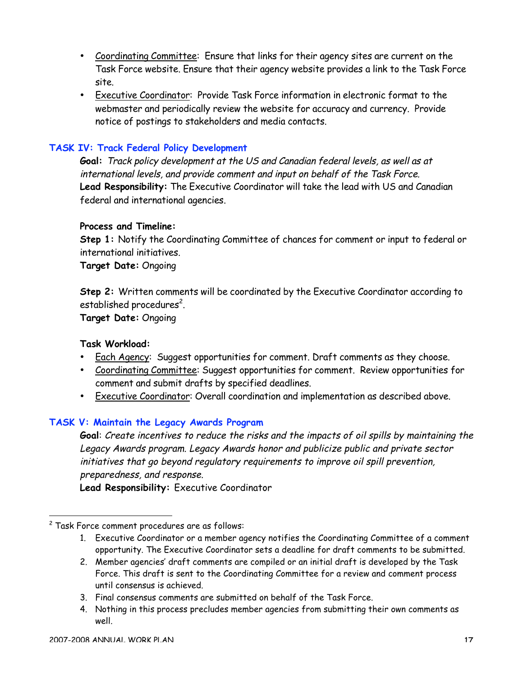- Coordinating Committee: Ensure that links for their agency sites are current on the Task Force website. Ensure that their agency website provides a link to the Task Force site.
- Executive Coordinator: Provide Task Force information in electronic format to the webmaster and periodically review the website for accuracy and currency. Provide notice of postings to stakeholders and media contacts.

## **TASK IV: Track Federal Policy Development**

**Goal:** Track policy development at the US and Canadian federal levels, as well as at international levels, and provide comment and input on behalf of the Task Force. **Lead Responsibility:** The Executive Coordinator will take the lead with US and Canadian federal and international agencies.

#### **Process and Timeline:**

**Step 1:** Notify the Coordinating Committee of chances for comment or input to federal or international initiatives.

**Target Date:** Ongoing

**Step 2:** Written comments will be coordinated by the Executive Coordinator according to established procedures $^{\mathsf{2}}$ .

**Target Date:** Ongoing

#### **Task Workload:**

- Each Agency: Suggest opportunities for comment. Draft comments as they choose.
- Coordinating Committee: Suggest opportunities for comment. Review opportunities for comment and submit drafts by specified deadlines.
- Executive Coordinator: Overall coordination and implementation as described above.

#### **TASK V: Maintain the Legacy Awards Program**

**Goal**: Create incentives to reduce the risks and the impacts of oil spills by maintaining the Legacy Awards program. Legacy Awards honor and publicize public and private sector initiatives that go beyond regulatory requirements to improve oil spill prevention, preparedness, and response.

**Lead Responsibility:** Executive Coordinator

- 1. Executive Coordinator or a member agency notifies the Coordinating Committee of a comment opportunity. The Executive Coordinator sets a deadline for draft comments to be submitted.
- 2. Member agencies' draft comments are compiled or an initial draft is developed by the Task Force. This draft is sent to the Coordinating Committee for a review and comment process until consensus is achieved.
- 3. Final consensus comments are submitted on behalf of the Task Force.
- 4. Nothing in this process precludes member agencies from submitting their own comments as well.

2 Task Force comment procedures are as follows: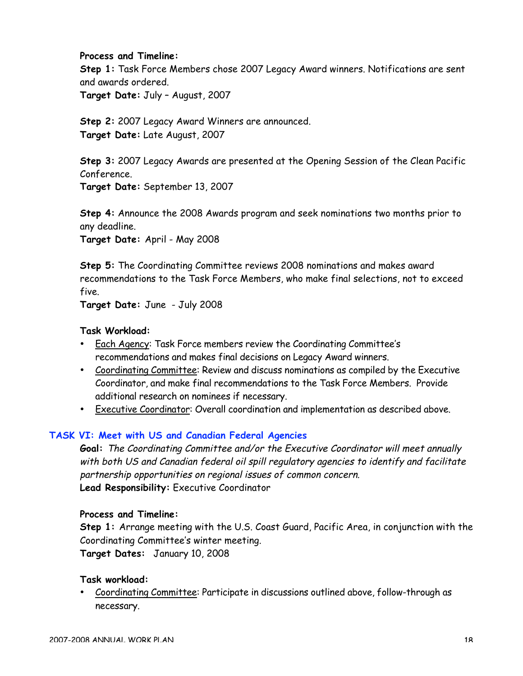#### **Process and Timeline:**

**Step 1:** Task Force Members chose 2007 Legacy Award winners. Notifications are sent and awards ordered.

**Target Date:** July – August, 2007

**Step 2:** 2007 Legacy Award Winners are announced. **Target Date:** Late August, 2007

**Step 3:** 2007 Legacy Awards are presented at the Opening Session of the Clean Pacific Conference.

**Target Date:** September 13, 2007

**Step 4:** Announce the 2008 Awards program and seek nominations two months prior to any deadline.

**Target Date:** April - May 2008

**Step 5:** The Coordinating Committee reviews 2008 nominations and makes award recommendations to the Task Force Members, who make final selections, not to exceed five.

**Target Date:** June - July 2008

#### **Task Workload:**

- Each Agency: Task Force members review the Coordinating Committee's recommendations and makes final decisions on Legacy Award winners.
- Coordinating Committee: Review and discuss nominations as compiled by the Executive Coordinator, and make final recommendations to the Task Force Members. Provide additional research on nominees if necessary.
- Executive Coordinator: Overall coordination and implementation as described above.

#### **TASK VI: Meet with US and Canadian Federal Agencies**

**Goal:** The Coordinating Committee and/or the Executive Coordinator will meet annually with both US and Canadian federal oil spill regulatory agencies to identify and facilitate partnership opportunities on regional issues of common concern. **Lead Responsibility:** Executive Coordinator

#### **Process and Timeline:**

**Step 1:** Arrange meeting with the U.S. Coast Guard, Pacific Area, in conjunction with the Coordinating Committee's winter meeting.

**Target Dates:** January 10, 2008

#### **Task workload:**

• Coordinating Committee: Participate in discussions outlined above, follow-through as necessary.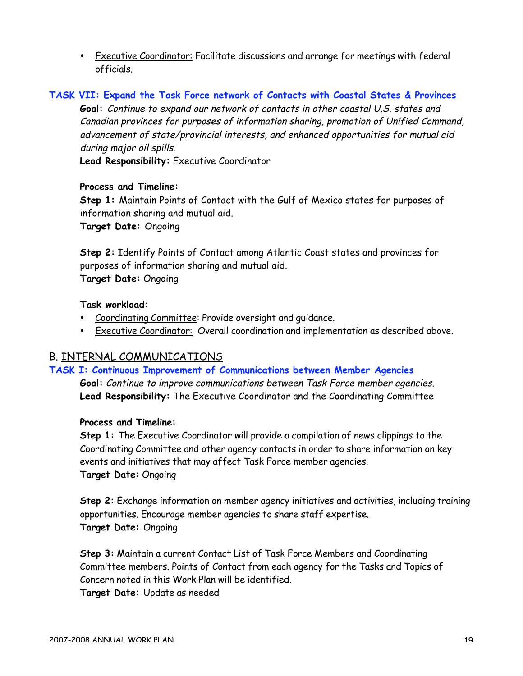• Executive Coordinator: Facilitate discussions and arrange for meetings with federal officials.

## **TASK VII: Expand the Task Force network of Contacts with Coastal States & Provinces**

**Goal:** Continue to expand our network of contacts in other coastal U.S. states and Canadian provinces for purposes of information sharing, promotion of Unified Command, advancement of state/provincial interests, and enhanced opportunities for mutual aid during major oil spills.

**Lead Responsibility:** Executive Coordinator

#### **Process and Timeline:**

**Step 1:** Maintain Points of Contact with the Gulf of Mexico states for purposes of information sharing and mutual aid.

**Target Date:** Ongoing

**Step 2:** Identify Points of Contact among Atlantic Coast states and provinces for purposes of information sharing and mutual aid. **Target Date:** Ongoing

**Task workload:**

- Coordinating Committee: Provide oversight and guidance.
- Executive Coordinator: Overall coordination and implementation as described above.

## B. INTERNAL COMMUNICATIONS

**TASK I: Continuous Improvement of Communications between Member Agencies**

**Goal:** Continue to improve communications between Task Force member agencies. **Lead Responsibility:** The Executive Coordinator and the Coordinating Committee

#### **Process and Timeline:**

**Step 1:** The Executive Coordinator will provide a compilation of news clippings to the Coordinating Committee and other agency contacts in order to share information on key events and initiatives that may affect Task Force member agencies. **Target Date:** Ongoing

**Step 2:** Exchange information on member agency initiatives and activities, including training opportunities. Encourage member agencies to share staff expertise. **Target Date:** Ongoing

**Step 3:** Maintain a current Contact List of Task Force Members and Coordinating Committee members. Points of Contact from each agency for the Tasks and Topics of Concern noted in this Work Plan will be identified.

**Target Date:** Update as needed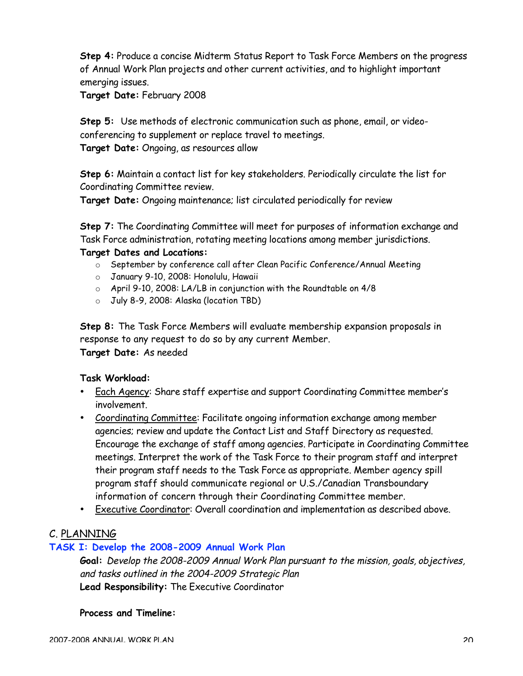**Step 4:** Produce a concise Midterm Status Report to Task Force Members on the progress of Annual Work Plan projects and other current activities, and to highlight important emerging issues.

**Target Date:** February 2008

**Step 5:** Use methods of electronic communication such as phone, email, or videoconferencing to supplement or replace travel to meetings. **Target Date:** Ongoing, as resources allow

**Step 6:** Maintain a contact list for key stakeholders. Periodically circulate the list for Coordinating Committee review.

**Target Date:** Ongoing maintenance; list circulated periodically for review

**Step 7:** The Coordinating Committee will meet for purposes of information exchange and Task Force administration, rotating meeting locations among member jurisdictions.

#### **Target Dates and Locations:**

- o September by conference call after Clean Pacific Conference/Annual Meeting
- o January 9-10, 2008: Honolulu, Hawaii
- o April 9-10, 2008: LA/LB in conjunction with the Roundtable on 4/8
- o July 8-9, 2008: Alaska (location TBD)

**Step 8:** The Task Force Members will evaluate membership expansion proposals in response to any request to do so by any current Member. **Target Date:** As needed

#### **Task Workload:**

- Each Agency: Share staff expertise and support Coordinating Committee member's involvement.
- Coordinating Committee: Facilitate ongoing information exchange among member agencies; review and update the Contact List and Staff Directory as requested. Encourage the exchange of staff among agencies. Participate in Coordinating Committee meetings. Interpret the work of the Task Force to their program staff and interpret their program staff needs to the Task Force as appropriate. Member agency spill program staff should communicate regional or U.S./Canadian Transboundary information of concern through their Coordinating Committee member.
- Executive Coordinator: Overall coordination and implementation as described above.

#### C. PLANNING

#### **TASK I: Develop the 2008-2009 Annual Work Plan**

**Goal:** Develop the 2008-2009 Annual Work Plan pursuant to the mission, goals, objectives, and tasks outlined in the 2004-2009 Strategic Plan **Lead Responsibility:** The Executive Coordinator

#### **Process and Timeline:**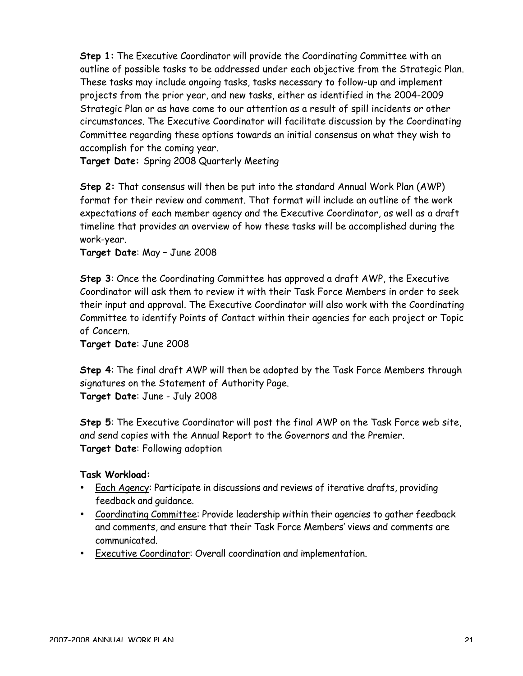**Step 1:** The Executive Coordinator will provide the Coordinating Committee with an outline of possible tasks to be addressed under each objective from the Strategic Plan. These tasks may include ongoing tasks, tasks necessary to follow-up and implement projects from the prior year, and new tasks, either as identified in the 2004-2009 Strategic Plan or as have come to our attention as a result of spill incidents or other circumstances. The Executive Coordinator will facilitate discussion by the Coordinating Committee regarding these options towards an initial consensus on what they wish to accomplish for the coming year.

**Target Date:** Spring 2008 Quarterly Meeting

**Step 2:** That consensus will then be put into the standard Annual Work Plan (AWP) format for their review and comment. That format will include an outline of the work expectations of each member agency and the Executive Coordinator, as well as a draft timeline that provides an overview of how these tasks will be accomplished during the work-year.

**Target Date**: May – June 2008

**Step 3**: Once the Coordinating Committee has approved a draft AWP, the Executive Coordinator will ask them to review it with their Task Force Members in order to seek their input and approval. The Executive Coordinator will also work with the Coordinating Committee to identify Points of Contact within their agencies for each project or Topic of Concern.

**Target Date**: June 2008

**Step 4**: The final draft AWP will then be adopted by the Task Force Members through signatures on the Statement of Authority Page. **Target Date**: June - July 2008

**Step 5**: The Executive Coordinator will post the final AWP on the Task Force web site, and send copies with the Annual Report to the Governors and the Premier. **Target Date**: Following adoption

**Task Workload:**

- Each Agency: Participate in discussions and reviews of iterative drafts, providing feedback and guidance.
- Coordinating Committee: Provide leadership within their agencies to gather feedback and comments, and ensure that their Task Force Members' views and comments are communicated.
- Executive Coordinator: Overall coordination and implementation.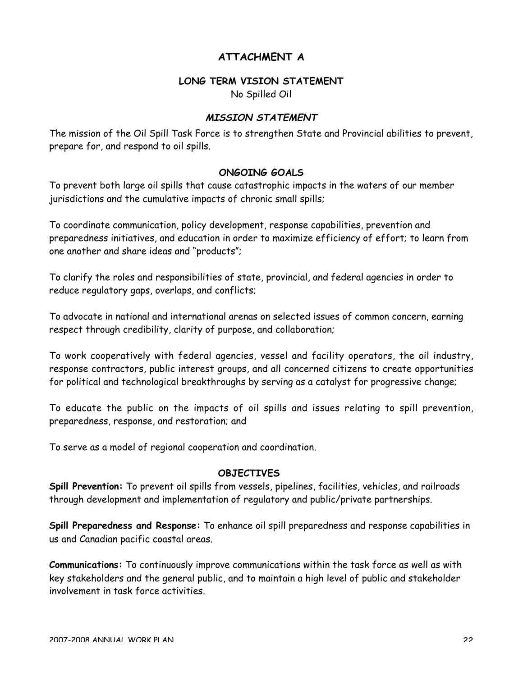## **ATTACHMENT A**

#### **LONG TERM VISION STATEMENT**

No Spilled Oil

#### **MISSION STATEMENT**

The mission of the Oil Spill Task Force is to strengthen State and Provincial abilities to prevent, prepare for, and respond to oil spills.

#### **ONGOING GOALS**

To prevent both large oil spills that cause catastrophic impacts in the waters of our member jurisdictions and the cumulative impacts of chronic small spills;

To coordinate communication, policy development, response capabilities, prevention and preparedness initiatives, and education in order to maximize efficiency of effort; to learn from one another and share ideas and "products";

To clarify the roles and responsibilities of state, provincial, and federal agencies in order to reduce regulatory gaps, overlaps, and conflicts;

To advocate in national and international arenas on selected issues of common concern, earning respect through credibility, clarity of purpose, and collaboration;

To work cooperatively with federal agencies, vessel and facility operators, the oil industry, response contractors, public interest groups, and all concerned citizens to create opportunities for political and technological breakthroughs by serving as a catalyst for progressive change;

To educate the public on the impacts of oil spills and issues relating to spill prevention, preparedness, response, and restoration; and

To serve as a model of regional cooperation and coordination.

#### **OBJECTIVES**

**Spill Prevention:** To prevent oil spills from vessels, pipelines, facilities, vehicles, and railroads through development and implementation of regulatory and public/private partnerships.

**Spill Preparedness and Response:** To enhance oil spill preparedness and response capabilities in us and Canadian pacific coastal areas.

**Communications:** To continuously improve communications within the task force as well as with key stakeholders and the general public, and to maintain a high level of public and stakeholder involvement in task force activities.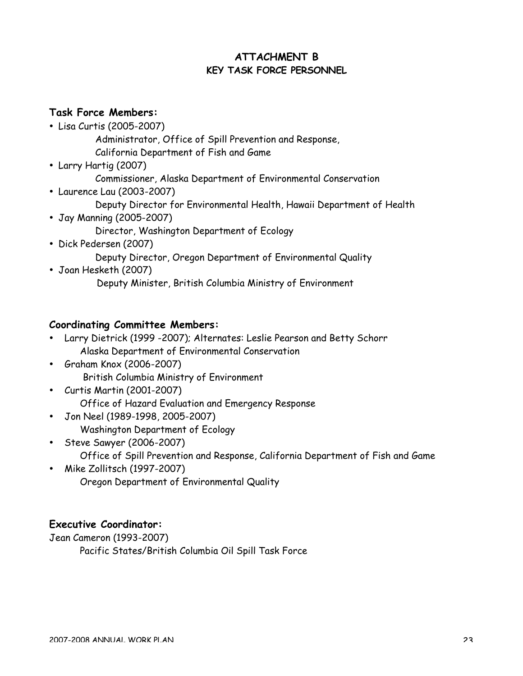## **ATTACHMENT B KEY TASK FORCE PERSONNEL**

## **Task Force Members:**

- Lisa Curtis (2005-2007)
	- Administrator, Office of Spill Prevention and Response, California Department of Fish and Game
- Larry Hartig (2007) Commissioner, Alaska Department of Environmental Conservation
	-
- Laurence Lau (2003-2007)
	- Deputy Director for Environmental Health, Hawaii Department of Health
- Jay Manning (2005-2007)
	- Director, Washington Department of Ecology
- Dick Pedersen (2007)

Deputy Director, Oregon Department of Environmental Quality

• Joan Hesketh (2007) Deputy Minister, British Columbia Ministry of Environment

## **Coordinating Committee Members:**

- Larry Dietrick (1999 -2007); Alternates: Leslie Pearson and Betty Schorr Alaska Department of Environmental Conservation
- Graham Knox (2006-2007) British Columbia Ministry of Environment
- Curtis Martin (2001-2007) Office of Hazard Evaluation and Emergency Response
- Jon Neel (1989-1998, 2005-2007) Washington Department of Ecology
- Steve Sawyer (2006-2007) Office of Spill Prevention and Response, California Department of Fish and Game
- Mike Zollitsch (1997-2007) Oregon Department of Environmental Quality

## **Executive Coordinator:**

Jean Cameron (1993-2007) Pacific States/British Columbia Oil Spill Task Force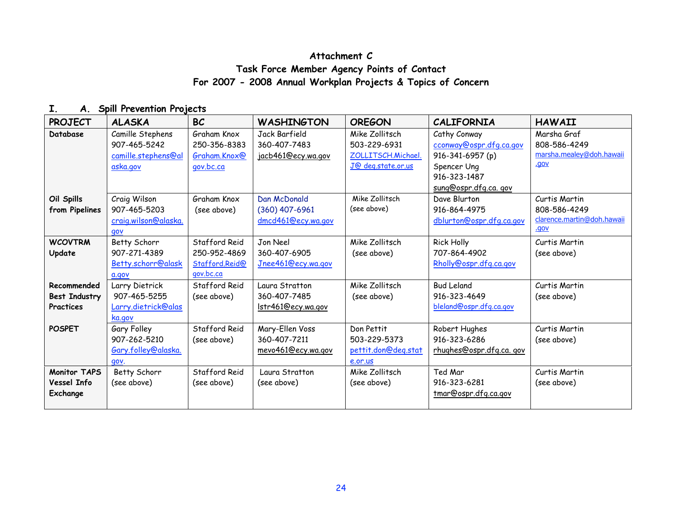## **Attachment C Task Force Member Agency Points of Contact For 2007 - 2008 Annual Workplan Projects & Topics of Concern**

## **I. A. Spill Prevention Projects**

| <b>PROJECT</b>                                   | <b>ALASKA</b>                                                       | <b>BC</b>                                                    | <b>WASHINGTON</b>                                     | <b>OREGON</b>                                                              | <b>CALIFORNIA</b>                                                                                                  | <b>HAWAII</b>                                                       |
|--------------------------------------------------|---------------------------------------------------------------------|--------------------------------------------------------------|-------------------------------------------------------|----------------------------------------------------------------------------|--------------------------------------------------------------------------------------------------------------------|---------------------------------------------------------------------|
| Database                                         | Camille Stephens<br>907-465-5242<br>camille.stephens@al<br>aska.gov | Graham Knox<br>250-356-8383<br>Graham.Knox@<br>gov.bc.ca     | Jack Barfield<br>360-407-7483<br>jacb461@ecy.wa.gov   | Mike Zollitsch<br>503-229-6931<br>ZOLLITSCH.Michael.<br>J@ deg.state.or.us | Cathy Conway<br>cconway@ospr.dfg.ca.gov<br>916-341-6957 (p)<br>Spencer Ung<br>916-323-1487<br>sung@ospr.dfg.ca.gov | Marsha Graf<br>808-586-4249<br>marsha.mealey@doh.hawaii<br>.gov     |
| Oil Spills<br>from Pipelines                     | Craig Wilson<br>907-465-5203<br>craig.wilson@alaska.<br>aov         | Graham Knox<br>(see above)                                   | Dan McDonald<br>(360) 407-6961<br>dmcd461@ecy.wa.gov  | Mike Zollitsch<br>(see above)                                              | Dave Blurton<br>916-864-4975<br>dblurton@ospr.dfg.ca.gov                                                           | Curtis Martin<br>808-586-4249<br>clarence.martin@doh.hawaii<br>vop. |
| <b>WCOVTRM</b><br>Update                         | Betty Schorr<br>907-271-4389<br>Betty.schorr@alask<br>a.gov         | Stafford Reid<br>250-952-4869<br>Stafford.Reid@<br>gov.bc.ca | Jon Neel<br>360-407-6905<br>Jnee461@ecy.wa.gov        | Mike Zollitsch<br>(see above)                                              | <b>Rick Holly</b><br>707-864-4902<br>Rholly@ospr.dfg.ca.gov                                                        | Curtis Martin<br>(see above)                                        |
| Recommended<br><b>Best Industry</b><br>Practices | Larry Dietrick<br>907-465-5255<br>Larry.dietrick@alas<br>ka.gov     | Stafford Reid<br>(see above)                                 | Laura Stratton<br>360-407-7485<br>Istr461@ecy.wa.gov  | Mike Zollitsch<br>(see above)                                              | <b>Bud Leland</b><br>916-323-4649<br>bleland@ospr.dfg.ca.gov                                                       | Curtis Martin<br>(see above)                                        |
| <b>POSPET</b>                                    | Gary Folley<br>907-262-5210<br>Gary.folley@alaska.<br>gov.          | Stafford Reid<br>(see above)                                 | Mary-Ellen Voss<br>360-407-7211<br>mevo461@ecy.wa.gov | Don Pettit<br>503-229-5373<br>pettit.don@deg.stat<br>e.or.us               | Robert Hughes<br>916-323-6286<br>rhughes@ospr.dfg.ca.gov                                                           | Curtis Martin<br>(see above)                                        |
| <b>Monitor TAPS</b><br>Vessel Info<br>Exchange   | Betty Schorr<br>(see above)                                         | Stafford Reid<br>(see above)                                 | Laura Stratton<br>(see above)                         | Mike Zollitsch<br>(see above)                                              | Ted Mar<br>916-323-6281<br>tmar@ospr.dfg.ca.gov                                                                    | Curtis Martin<br>(see above)                                        |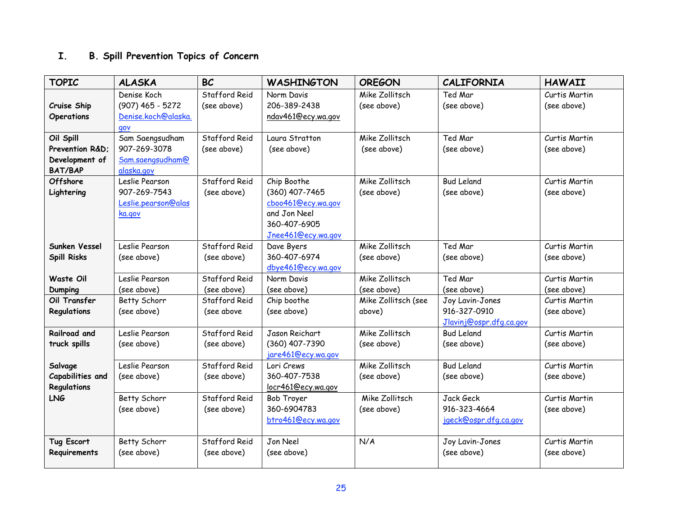## **I. B. Spill Prevention Topics of Concern**

| <b>TOPIC</b>              | <b>ALASKA</b>       | <b>BC</b>     | <b>WASHINGTON</b>         | <b>OREGON</b>       | <b>CALIFORNIA</b>       | <b>HAWAII</b> |
|---------------------------|---------------------|---------------|---------------------------|---------------------|-------------------------|---------------|
|                           | Denise Koch         | Stafford Reid | Norm Davis                | Mike Zollitsch      | Ted Mar                 | Curtis Martin |
| Cruise Ship               | $(907)$ 465 - 5272  | (see above)   | 206-389-2438              | (see above)         | (see above)             | (see above)   |
| <b>Operations</b>         | Denise.koch@alaska. |               | ndav461@ecy.wa.gov        |                     |                         |               |
|                           | qov                 |               |                           |                     |                         |               |
| Oil Spill                 | Sam Saengsudham     | Stafford Reid | Laura Stratton            | Mike Zollitsch      | Ted Mar                 | Curtis Martin |
| Prevention R&D:           | 907-269-3078        | (see above)   | (see above)               | (see above)         | (see above)             | (see above)   |
| Development of            | Sam.saengsudham@    |               |                           |                     |                         |               |
| <b>BAT/BAP</b>            | alaska.gov          |               |                           |                     |                         |               |
| Offshore                  | Leslie Pearson      | Stafford Reid | Chip Boothe               | Mike Zollitsch      | <b>Bud Leland</b>       | Curtis Martin |
| Lightering                | 907-269-7543        | (see above)   | (360) 407-7465            | (see above)         | (see above)             | (see above)   |
|                           | Leslie.pearson@alas |               | cboo461@ecy.wa.gov        |                     |                         |               |
|                           | ka.gov              |               | and Jon Neel              |                     |                         |               |
|                           |                     |               | 360-407-6905              |                     |                         |               |
|                           |                     |               | Jnee461@ecy.wa.gov        |                     |                         |               |
| Sunken Vessel             | Leslie Pearson      | Stafford Reid | Dave Byers                | Mike Zollitsch      | Ted Mar                 | Curtis Martin |
| <b>Spill Risks</b>        | (see above)         | (see above)   | 360-407-6974              | (see above)         | (see above)             | (see above)   |
|                           |                     |               | dbye461@ecy.wa.gov        |                     |                         |               |
| <b>Waste Oil</b>          | Leslie Pearson      | Stafford Reid | Norm Davis                | Mike Zollitsch      | Ted Mar                 | Curtis Martin |
| <b>Dumping</b>            | (see above)         | (see above)   | (see above)               | (see above)         | (see above)             | (see above)   |
| Oil Transfer              | Betty Schorr        | Stafford Reid | Chip boothe               | Mike Zollitsch (see | Joy Lavin-Jones         | Curtis Martin |
| Regulations               | (see above)         | (see above    | (see above)               | above)              | 916-327-0910            | (see above)   |
|                           |                     |               |                           |                     | Jlavinj@ospr.dfg.ca.gov |               |
| Railroad and              | Leslie Pearson      | Stafford Reid | Jason Reichart            | Mike Zollitsch      | <b>Bud Leland</b>       | Curtis Martin |
| truck spills              | (see above)         | (see above)   | (360) 407-7390            | (see above)         | (see above)             | (see above)   |
|                           |                     |               | jare461@ecy.wa.gov        |                     |                         |               |
| Salvage                   | Leslie Pearson      | Stafford Reid | Lori Crews                | Mike Zollitsch      | <b>Bud Leland</b>       | Curtis Martin |
| Capabilities and          | (see above)         | (see above)   | 360-407-7538              | (see above)         | (see above)             | (see above)   |
| Regulations<br><b>LNG</b> | Betty Schorr        | Stafford Reid | locr461@ecy.wa.gov        | Mike Zollitsch      | Jack Geck               | Curtis Martin |
|                           | (see above)         |               | Bob Troyer<br>360-6904783 | (see above)         | 916-323-4664            |               |
|                           |                     | (see above)   | btro461@ecy.wa.gov        |                     |                         | (see above)   |
|                           |                     |               |                           |                     | jgeck@ospr.dfg.ca.gov   |               |
| Tug Escort                | Betty Schorr        | Stafford Reid | Jon Neel                  | N/A                 | Joy Lavin-Jones         | Curtis Martin |
| Requirements              | (see above)         | (see above)   | (see above)               |                     | (see above)             | (see above)   |
|                           |                     |               |                           |                     |                         |               |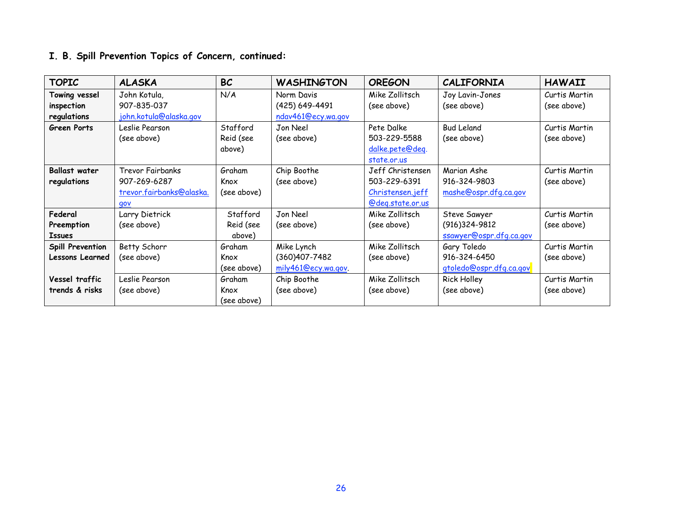## **I. B. Spill Prevention Topics of Concern, continued:**

| <b>TOPIC</b>           | <b>ALASKA</b>            | <b>BC</b>   | <b>WASHINGTON</b>   | <b>OREGON</b>           | <b>CALIFORNIA</b>       | <b>HAWAII</b> |
|------------------------|--------------------------|-------------|---------------------|-------------------------|-------------------------|---------------|
| Towing vessel          | John Kotula,             | N/A         | Norm Davis          | Mike Zollitsch          | Joy Lavin-Jones         | Curtis Martin |
| inspection             | 907-835-037              |             | (425) 649-4491      | (see above)             | (see above)             | (see above)   |
| regulations            | john.kotula@alaska.gov   |             | ndav461@ecy.wa.gov  |                         |                         |               |
| <b>Green Ports</b>     | Leslie Pearson           | Stafford    | Jon Neel            | Pete Dalke              | <b>Bud Leland</b>       | Curtis Martin |
|                        | (see above)              | Reid (see   | (see above)         | 503-229-5588            | (see above)             | (see above)   |
|                        |                          | above)      |                     | dalke.pete@deq.         |                         |               |
|                        |                          |             |                     | state.or.us             |                         |               |
| <b>Ballast water</b>   | <b>Trevor Fairbanks</b>  | Graham      | Chip Boothe         | Jeff Christensen        | Marian Ashe             | Curtis Martin |
| regulations            | 907-269-6287             | Knox        | (see above)         | 503-229-6391            | 916-324-9803            | (see above)   |
|                        | trevor.fairbanks@alaska. | (see above) |                     | Christensen.jeff        | mashe@ospr.dfg.ca.gov   |               |
|                        | gov                      |             |                     | <u>@deg.state.or.us</u> |                         |               |
| Federal                | Larry Dietrick           | Stafford    | Jon Neel            | Mike Zollitsch          | Steve Sawyer            | Curtis Martin |
| Preemption             | (see above)              | Reid (see   | (see above)         | (see above)             | (916) 324-9812          | (see above)   |
| <b>Issues</b>          |                          | above)      |                     |                         | ssawyer@ospr.dfg.ca.gov |               |
| Spill Prevention       | Betty Schorr             | Graham      | Mike Lynch          | Mike Zollitsch          | Gary Toledo             | Curtis Martin |
| <b>Lessons Learned</b> | (see above)              | Knox        | (360)407-7482       | (see above)             | 916-324-6450            | (see above)   |
|                        |                          | (see above) | mily461@ecy.wa.gov. |                         | gtoledo@ospr.dfg.ca.gov |               |
| Vessel traffic         | Leslie Pearson           | Graham      | Chip Boothe         | Mike Zollitsch          | <b>Rick Holley</b>      | Curtis Martin |
| trends & risks         | (see above)              | Knox        | (see above)         | (see above)             | (see above)             | (see above)   |
|                        |                          | (see above) |                     |                         |                         |               |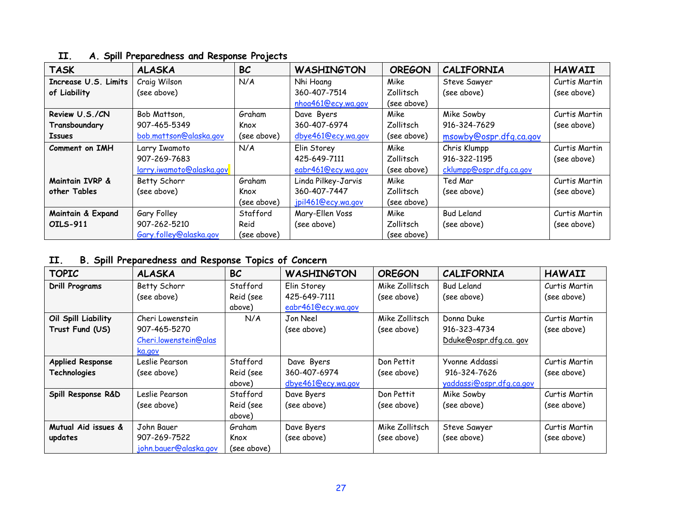| <b>TASK</b>          | <b>ALASKA</b>            | <b>BC</b>   | <b>WASHINGTON</b>   | <b>OREGON</b> | <b>CALIFORNIA</b>       | <b>HAWAII</b> |
|----------------------|--------------------------|-------------|---------------------|---------------|-------------------------|---------------|
| Increase U.S. Limits | Craig Wilson             | N/A         | Nhi Hoang           | Mike          | Steve Sawyer            | Curtis Martin |
| of Liability         | (see above)              |             | 360-407-7514        | Zollitsch     | (see above)             | (see above)   |
|                      |                          |             | nhoa461@ecy.wa.gov  | (see above)   |                         |               |
| Review U.S./CN       | Bob Mattson,             | Graham      | Dave Byers          | Mike          | Mike Sowby              | Curtis Martin |
| Transboundary        | 907-465-5349             | Knox        | 360-407-6974        | Zollitsch     | 916-324-7629            | (see above)   |
| <b>Issues</b>        | bob.mattson@alaska.gov   | (see above) | dbye461@ecy.wa.gov  | (see above)   | msowby@ospr.dfg.ca.gov  |               |
| Comment on IMH       | Larry Iwamoto            | N/A         | Elin Storey         | Mike          | Chris Klumpp            | Curtis Martin |
|                      | 907-269-7683             |             | 425-649-7111        | Zollitsch     | 916-322-1195            | (see above)   |
|                      | larry.iwamoto@alaska.gov |             | eabr461@ecy.wa.gov  | (see above)   | cklumpp@ospr.dfg.ca.gov |               |
| Maintain IVRP &      | Betty Schorr             | Graham      | Linda Pilkey-Jarvis | Mike          | Ted Mar                 | Curtis Martin |
| other Tables         | (see above)              | Knox        | 360-407-7447        | Zollitsch     | (see above)             | (see above)   |
|                      |                          | (see above) | jpil461@ecy.wa.gov  | (see above)   |                         |               |
| Maintain & Expand    | Gary Folley              | Stafford    | Mary-Ellen Voss     | Mike          | <b>Bud Leland</b>       | Curtis Martin |
| <b>OILS-911</b>      | 907-262-5210             | Reid        | (see above)         | Zollitsch     | (see above)             | (see above)   |
|                      | Gary.folley@alaska.gov   | (see above) |                     | (see above)   |                         |               |

## **II. A. Spill Preparedness and Response Projects**

## **II. B. Spill Preparedness and Response Topics of Concern**

| <b>TOPIC</b>            | <b>ALASKA</b>         | <b>BC</b>   | <b>WASHINGTON</b>  | <b>OREGON</b>  | <b>CALIFORNIA</b>        | <b>HAWAII</b> |
|-------------------------|-----------------------|-------------|--------------------|----------------|--------------------------|---------------|
| <b>Drill Programs</b>   | Betty Schorr          | Stafford    | Elin Storey        | Mike Zollitsch | <b>Bud Leland</b>        | Curtis Martin |
|                         | (see above)           | Reid (see   | 425-649-7111       | (see above)    | (see above)              | (see above)   |
|                         |                       | above)      | eabr461@ecy.wa.gov |                |                          |               |
| Oil Spill Liability     | Cheri Lowenstein      | N/A         | Jon Neel           | Mike Zollitsch | Donna Duke               | Curtis Martin |
| Trust Fund (US)         | 907-465-5270          |             | (see above)        | (see above)    | 916-323-4734             | (see above)   |
|                         | Cheri.lowenstein@alas |             |                    |                | Dduke@ospr.dfg.ca.gov    |               |
|                         | ka.gov                |             |                    |                |                          |               |
| <b>Applied Response</b> | Leslie Pearson        | Stafford    | Dave Byers         | Don Pettit     | Yvonne Addassi           | Curtis Martin |
| Technologies            | (see above)           | Reid (see   | 360-407-6974       | (see above)    | 916-324-7626             | (see above)   |
|                         |                       | above)      | dbye461@ecy.wa.gov |                | yaddassi@ospr.dfg.ca.gov |               |
| Spill Response R&D      | Leslie Pearson        | Stafford    | Dave Byers         | Don Pettit     | Mike Sowby               | Curtis Martin |
|                         | (see above)           | Reid (see   | (see above)        | (see above)    | (see above)              | (see above)   |
|                         |                       | above)      |                    |                |                          |               |
| Mutual Aid issues &     | John Bauer            | Graham      | Dave Byers         | Mike Zollitsch | Steve Sawyer             | Curtis Martin |
| updates                 | 907-269-7522          | Knox        | (see above)        | (see above)    | (see above)              | (see above)   |
|                         | john.bauer@alaska.gov | (see above) |                    |                |                          |               |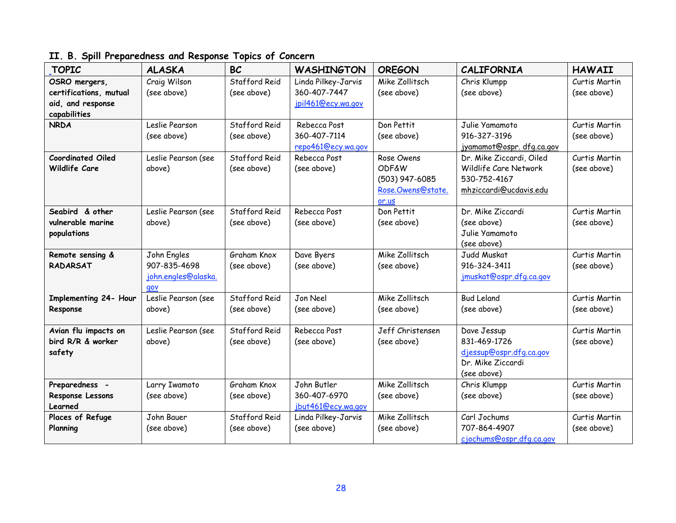## **II. B. Spill Preparedness and Response Topics of Concern**

| <b>TOPIC</b>                                | <b>ALASKA</b>               | <b>BC</b>     | <b>WASHINGTON</b>                   | <b>OREGON</b>     | <b>CALIFORNIA</b>          | <b>HAWAII</b> |
|---------------------------------------------|-----------------------------|---------------|-------------------------------------|-------------------|----------------------------|---------------|
| OSRO mergers,                               | Craig Wilson                | Stafford Reid | Linda Pilkey-Jarvis<br>360-407-7447 | Mike Zollitsch    | Chris Klumpp               | Curtis Martin |
| certifications, mutual<br>aid, and response | (see above)                 | (see above)   | jpil461@ecy.wa.gov                  | (see above)       | (see above)                | (see above)   |
| capabilities                                |                             |               |                                     |                   |                            |               |
| <b>NRDA</b>                                 | Leslie Pearson              | Stafford Reid | Rebecca Post                        | Don Pettit        | Julie Yamamoto             | Curtis Martin |
|                                             | (see above)                 | (see above)   | 360-407-7114                        | (see above)       | 916-327-3196               | (see above)   |
|                                             |                             |               | repo461@ecy.wa.gov                  |                   | jyamamot@ospr.dfg.ca.gov   |               |
| <b>Coordinated Oiled</b>                    | Leslie Pearson (see         | Stafford Reid | Rebecca Post                        | Rose Owens        | Dr. Mike Ziccardi, Oiled   | Curtis Martin |
| Wildlife Care                               | above)                      | (see above)   | (see above)                         | <b>ODF&amp;W</b>  | Wildlife Care Network      | (see above)   |
|                                             |                             |               |                                     | (503) 947-6085    | 530-752-4167               |               |
|                                             |                             |               |                                     | Rose.Owens@state. | mhziccardi@ucdavis.edu     |               |
|                                             |                             |               |                                     | or.us             |                            |               |
| Seabird & other                             | Leslie Pearson (see         | Stafford Reid | Rebecca Post                        | Don Pettit        | Dr. Mike Ziccardi          | Curtis Martin |
| vulnerable marine                           | above)                      | (see above)   | (see above)                         | (see above)       | (see above)                | (see above)   |
| populations                                 |                             |               |                                     |                   | Julie Yamamoto             |               |
|                                             |                             | Graham Knox   |                                     | Mike Zollitsch    | (see above)<br>Judd Muskat | Curtis Martin |
| Remote sensing &<br><b>RADARSAT</b>         | John Engles<br>907-835-4698 | (see above)   | Dave Byers<br>(see above)           | (see above)       | 916-324-3411               | (see above)   |
|                                             | john.engles@alaska.         |               |                                     |                   | jmuskat@ospr.dfg.ca.gov    |               |
|                                             | gov                         |               |                                     |                   |                            |               |
| Implementing 24- Hour                       | Leslie Pearson (see         | Stafford Reid | Jon Neel                            | Mike Zollitsch    | <b>Bud Leland</b>          | Curtis Martin |
| Response                                    | above)                      | (see above)   | (see above)                         | (see above)       | (see above)                | (see above)   |
|                                             |                             |               |                                     |                   |                            |               |
| Avian flu impacts on                        | Leslie Pearson (see         | Stafford Reid | Rebecca Post                        | Jeff Christensen  | Dave Jessup                | Curtis Martin |
| bird R/R & worker                           | above)                      | (see above)   | (see above)                         | (see above)       | 831-469-1726               | (see above)   |
| safety                                      |                             |               |                                     |                   | diessup@ospr.dfg.ca.gov    |               |
|                                             |                             |               |                                     |                   | Dr. Mike Ziccardi          |               |
|                                             |                             |               |                                     |                   | (see above)                |               |
| Preparedness -                              | Larry Iwamoto               | Graham Knox   | John Butler                         | Mike Zollitsch    | Chris Klumpp               | Curtis Martin |
| Response Lessons                            | (see above)                 | (see above)   | 360-407-6970                        | (see above)       | (see above)                | (see above)   |
| Learned                                     |                             |               | jbut461@ecy.wa.gov                  |                   |                            |               |
| Places of Refuge                            | John Bauer                  | Stafford Reid | Linda Pilkey-Jarvis                 | Mike Zollitsch    | Carl Jochums               | Curtis Martin |
| Planning                                    | (see above)                 | (see above)   | (see above)                         | (see above)       | 707-864-4907               | (see above)   |
|                                             |                             |               |                                     |                   | cjochums@ospr.dfg.ca.gov   |               |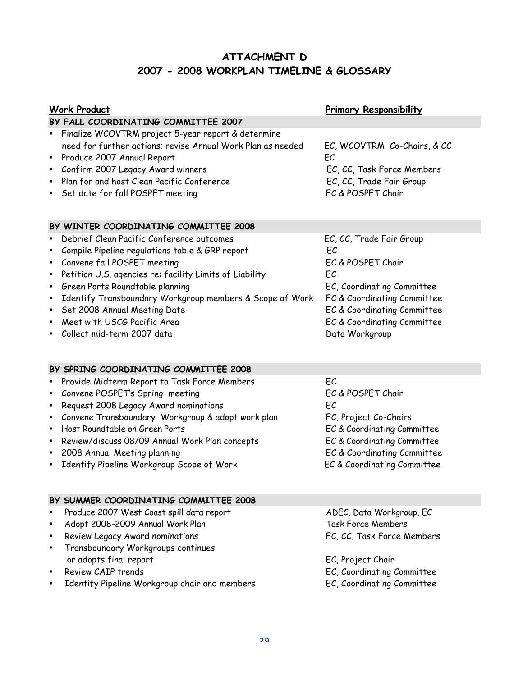## **ATTACHMENT D 2007 - 2008 WORKPLAN TIMELINE & GLOSSARY**

| <b>Work Product</b>                                                                                                                                                                                                                                                                                                                                                                                                                           | <b>Primary Responsibility</b>                                                                                                                                                                          |
|-----------------------------------------------------------------------------------------------------------------------------------------------------------------------------------------------------------------------------------------------------------------------------------------------------------------------------------------------------------------------------------------------------------------------------------------------|--------------------------------------------------------------------------------------------------------------------------------------------------------------------------------------------------------|
| BY FALL COORDINATING COMMITTEE 2007                                                                                                                                                                                                                                                                                                                                                                                                           |                                                                                                                                                                                                        |
| Finalize WCOVTRM project 5-year report & determine<br>need for further actions; revise Annual Work Plan as needed<br>Produce 2007 Annual Report<br>Confirm 2007 Legacy Award winners<br>Plan for and host Clean Pacific Conference<br>Set date for fall POSPET meeting                                                                                                                                                                        | EC, WCOVTRM Co-Chairs, & CC<br>EC<br>EC, CC, Task Force Members<br>EC, CC, Trade Fair Group<br>EC & POSPET Chair                                                                                       |
| BY WINTER COORDINATING COMMITTEE 2008                                                                                                                                                                                                                                                                                                                                                                                                         |                                                                                                                                                                                                        |
| Debrief Clean Pacific Conference outcomes<br>$\bullet$<br>Compile Pipeline regulations table & GRP report<br>٠<br>Convene fall POSPET meeting<br>٠<br>Petition U.S. agencies re: facility Limits of Liability<br>$\bullet$<br>Green Ports Roundtable planning<br>٠<br>Identify Transboundary Workgroup members & Scope of Work<br>٠<br>Set 2008 Annual Meeting Date<br>$\bullet$<br>Meet with USCG Pacific Area<br>Collect mid-term 2007 data | EC, CC, Trade Fair Group<br>EC<br>EC & POSPET Chair<br>EC<br>EC, Coordinating Committee<br>EC & Coordinating Committee<br>EC & Coordinating Committee<br>EC & Coordinating Committee<br>Data Workgroup |
| BY SPRING COORDINATING COMMITTEE 2008                                                                                                                                                                                                                                                                                                                                                                                                         |                                                                                                                                                                                                        |
| Provide Midterm Report to Task Force Members<br>٠<br>Convene POSPET's Spring meeting<br>٠<br>Request 2008 Legacy Award nominations<br>٠<br>Convene Transboundary Workgroup & adopt work plan<br>$\bullet$<br>Host Roundtable on Green Ports<br>Review/discuss 08/09 Annual Work Plan concepts<br>٠<br>2008 Annual Meeting planning<br>$\bullet$<br>Identify Pipeline Workgroup Scope of Work                                                  | EC<br>EC & POSPET Chair<br>EC<br>EC, Project Co-Chairs<br>EC & Coordinating Committee<br>EC & Coordinating Committee<br>EC & Coordinating Committee<br>EC & Coordinating Committee                     |
| BY SUMMER COORDINATING COMMITTEE 2008                                                                                                                                                                                                                                                                                                                                                                                                         |                                                                                                                                                                                                        |
| Produce 2007 West Coast spill data report<br>Adopt 2008-2009 Annual Work Plan<br>٠<br>Review Legacy Award nominations<br>٠<br>Transboundary Workgroups continues<br>or adopts final report                                                                                                                                                                                                                                                    | ADEC, Data Workgroup, EC<br><b>Task Force Members</b><br>EC, CC, Task Force Members<br>EC, Project Chair                                                                                               |
| Review CAIP trends<br>Identify Pipeline Workgroup chair and members                                                                                                                                                                                                                                                                                                                                                                           | EC, Coordinating Committee<br>EC, Coordinating Committee                                                                                                                                               |